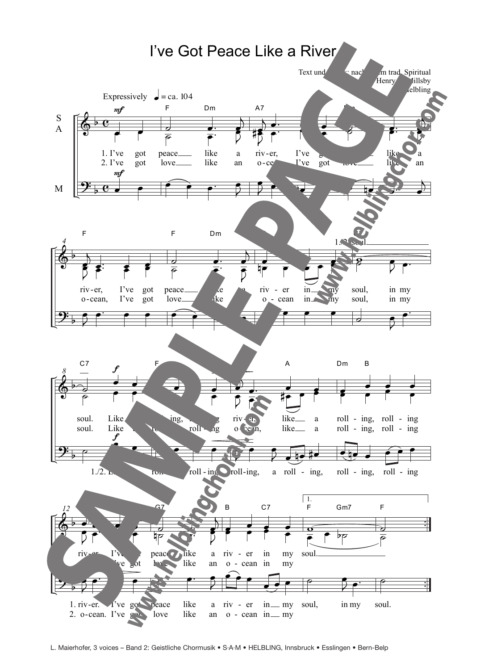

L. Maierhofer, 3 voices – Band 2: Geistliche Chormusik • S·A·M • HELBLING, Innsbruck • Esslingen • Bern-Belp